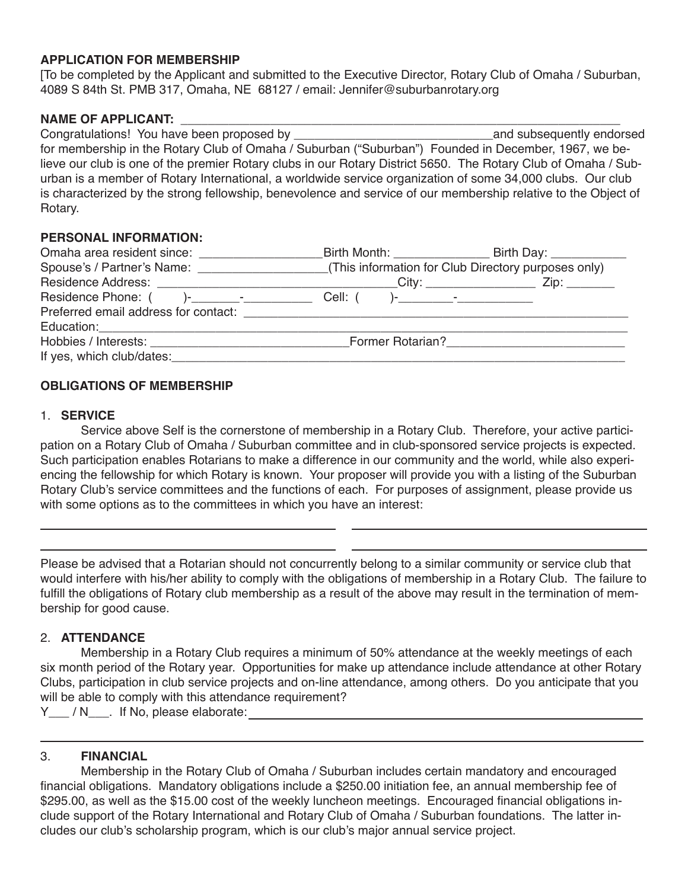### **APPLICATION FOR MEMBERSHIP**

[To be completed by the Applicant and submitted to the Executive Director, Rotary Club of Omaha / Suburban, 4089 S 84th St. PMB 317, Omaha, NE 68127 / email: Jennifer@suburbanrotary.org

### NAME OF APPLICANT:

Congratulations! You have been proposed by \_\_\_\_\_\_\_\_\_\_\_\_\_\_\_\_\_\_\_\_\_\_\_\_\_\_\_\_\_and subsequently endorsed for membership in the Rotary Club of Omaha / Suburban ("Suburban") Founded in December, 1967, we believe our club is one of the premier Rotary clubs in our Rotary District 5650. The Rotary Club of Omaha / Suburban is a member of Rotary International, a worldwide service organization of some 34,000 clubs. Our club is characterized by the strong fellowship, benevolence and service of our membership relative to the Object of Rotary.

#### **PERSONAL INFORMATION:**

| Omaha area resident since: ___________________ | _Birth Month: _____________________ Birth Day: ______________                                           |  |
|------------------------------------------------|---------------------------------------------------------------------------------------------------------|--|
|                                                | Spouse's / Partner's Name: _________________________(This information for Club Directory purposes only) |  |
|                                                |                                                                                                         |  |
|                                                |                                                                                                         |  |
|                                                |                                                                                                         |  |
|                                                |                                                                                                         |  |
|                                                | Former Rotarian?<br><u> </u>                                                                            |  |
| If yes, which club/dates:                      |                                                                                                         |  |

# **OBLIGATIONS OF MEMBERSHIP**

### 1. **SERVICE**

Service above Self is the cornerstone of membership in a Rotary Club. Therefore, your active participation on a Rotary Club of Omaha / Suburban committee and in club-sponsored service projects is expected. Such participation enables Rotarians to make a difference in our community and the world, while also experiencing the fellowship for which Rotary is known. Your proposer will provide you with a listing of the Suburban Rotary Club's service committees and the functions of each. For purposes of assignment, please provide us with some options as to the committees in which you have an interest:

Please be advised that a Rotarian should not concurrently belong to a similar community or service club that would interfere with his/her ability to comply with the obligations of membership in a Rotary Club. The failure to fulfill the obligations of Rotary club membership as a result of the above may result in the termination of membership for good cause.

# 2. **ATTENDANCE**

Membership in a Rotary Club requires a minimum of 50% attendance at the weekly meetings of each six month period of the Rotary year. Opportunities for make up attendance include attendance at other Rotary Clubs, participation in club service projects and on-line attendance, among others. Do you anticipate that you will be able to comply with this attendance requirement?

Y\_\_\_ / N\_\_\_. If No, please elaborate:

# 3. **FINANCIAL**

Membership in the Rotary Club of Omaha / Suburban includes certain mandatory and encouraged financial obligations. Mandatory obligations include a \$250.00 initiation fee, an annual membership fee of \$295.00, as well as the \$15.00 cost of the weekly luncheon meetings. Encouraged financial obligations include support of the Rotary International and Rotary Club of Omaha / Suburban foundations. The latter includes our club's scholarship program, which is our club's major annual service project.